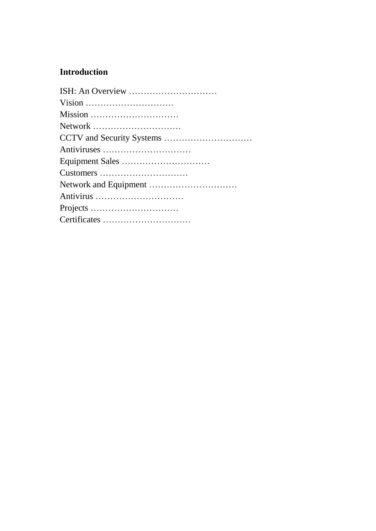### **Introduction**

| Vision      |
|-------------|
| Mission     |
| Network     |
|             |
| Antiviruses |
|             |
| Customers   |
|             |
| Antivirus   |
|             |
|             |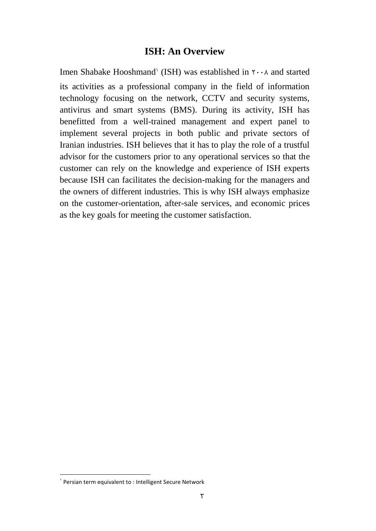### **ISH: An Overview**

Imen Shabake Hooshmand' (ISH) was established in  $\mathsf{r} \cdot \mathsf{A}$  and started its activities as a professional company in the field of information technology focusing on the network, CCTV and security systems, antivirus and smart systems (BMS). During its activity, ISH has benefitted from a well-trained management and expert panel to implement several projects in both public and private sectors of Iranian industries. ISH believes that it has to play the role of a trustful advisor for the customers prior to any operational services so that the customer can rely on the knowledge and experience of ISH experts because ISH can facilitates the decision-making for the managers and the owners of different industries. This is why ISH always emphasize on the customer-orientation, after-sale services, and economic prices as the key goals for meeting the customer satisfaction.

 $\overline{\phantom{a}}$ 

<sup>1</sup> Persian term equivalent to : Intelligent Secure Network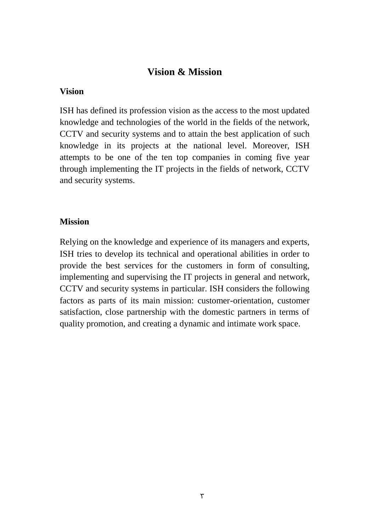### **Vision & Mission**

#### **Vision**

ISH has defined its profession vision as the access to the most updated knowledge and technologies of the world in the fields of the network, CCTV and security systems and to attain the best application of such knowledge in its projects at the national level. Moreover, ISH attempts to be one of the ten top companies in coming five year through implementing the IT projects in the fields of network, CCTV and security systems.

### **Mission**

Relying on the knowledge and experience of its managers and experts, ISH tries to develop its technical and operational abilities in order to provide the best services for the customers in form of consulting, implementing and supervising the IT projects in general and network, CCTV and security systems in particular. ISH considers the following factors as parts of its main mission: customer-orientation, customer satisfaction, close partnership with the domestic partners in terms of quality promotion, and creating a dynamic and intimate work space.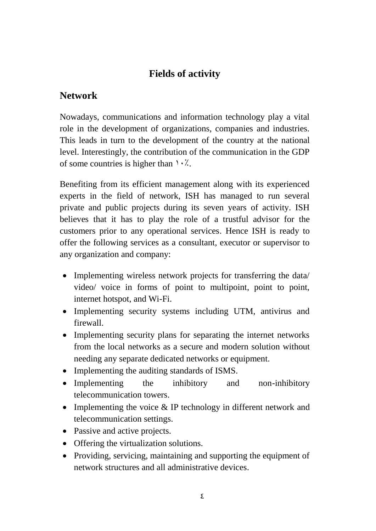# **Fields of activity**

### **Network**

Nowadays, communications and information technology play a vital role in the development of organizations, companies and industries. This leads in turn to the development of the country at the national level. Interestingly, the contribution of the communication in the GDP of some countries is higher than  $\cdot \cdot \cdot$ .

Benefiting from its efficient management along with its experienced experts in the field of network, ISH has managed to run several private and public projects during its seven years of activity. ISH believes that it has to play the role of a trustful advisor for the customers prior to any operational services. Hence ISH is ready to offer the following services as a consultant, executor or supervisor to any organization and company:

- Implementing wireless network projects for transferring the data/ video/ voice in forms of point to multipoint, point to point, internet hotspot, and Wi-Fi.
- Implementing security systems including UTM, antivirus and firewall.
- Implementing security plans for separating the internet networks from the local networks as a secure and modern solution without needing any separate dedicated networks or equipment.
- Implementing the auditing standards of ISMS.
- Implementing the inhibitory and non-inhibitory telecommunication towers.
- Implementing the voice  $&$  IP technology in different network and telecommunication settings.
- Passive and active projects.
- Offering the virtualization solutions.
- Providing, servicing, maintaining and supporting the equipment of network structures and all administrative devices.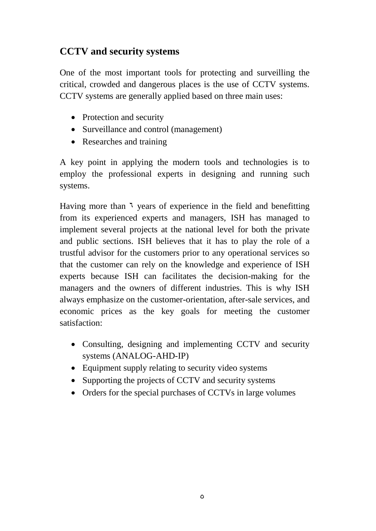# **CCTV and security systems**

One of the most important tools for protecting and surveilling the critical, crowded and dangerous places is the use of CCTV systems. CCTV systems are generally applied based on three main uses:

- Protection and security
- Surveillance and control (management)
- Researches and training

A key point in applying the modern tools and technologies is to employ the professional experts in designing and running such systems.

Having more than  $\lambda$  years of experience in the field and benefitting from its experienced experts and managers, ISH has managed to implement several projects at the national level for both the private and public sections. ISH believes that it has to play the role of a trustful advisor for the customers prior to any operational services so that the customer can rely on the knowledge and experience of ISH experts because ISH can facilitates the decision-making for the managers and the owners of different industries. This is why ISH always emphasize on the customer-orientation, after-sale services, and economic prices as the key goals for meeting the customer satisfaction:

- Consulting, designing and implementing CCTV and security systems (ANALOG-AHD-IP)
- Equipment supply relating to security video systems
- Supporting the projects of CCTV and security systems
- Orders for the special purchases of CCTVs in large volumes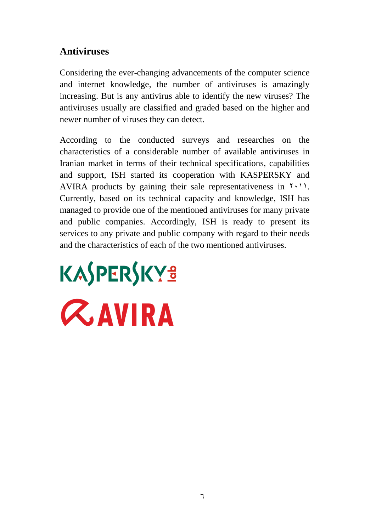# **Antiviruses**

Considering the ever-changing advancements of the computer science and internet knowledge, the number of antiviruses is amazingly increasing. But is any antivirus able to identify the new viruses? The antiviruses usually are classified and graded based on the higher and newer number of viruses they can detect.

According to the conducted surveys and researches on the characteristics of a considerable number of available antiviruses in Iranian market in terms of their technical specifications, capabilities and support, ISH started its cooperation with KASPERSKY and AVIRA products by gaining their sale representativeness in  $\gamma$ . Currently, based on its technical capacity and knowledge, ISH has managed to provide one of the mentioned antiviruses for many private and public companies. Accordingly, ISH is ready to present its services to any private and public company with regard to their needs and the characteristics of each of the two mentioned antiviruses.

# KASPERSKYS **ZAVIRA**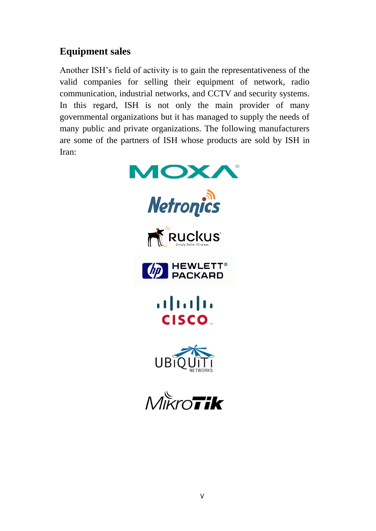# **Equipment sales**

Another ISH's field of activity is to gain the representativeness of the valid companies for selling their equipment of network, radio communication, industrial networks, and CCTV and security systems. In this regard, ISH is not only the main provider of many governmental organizations but it has managed to supply the needs of many public and private organizations. The following manufacturers are some of the partners of ISH whose products are sold by ISH in Iran:



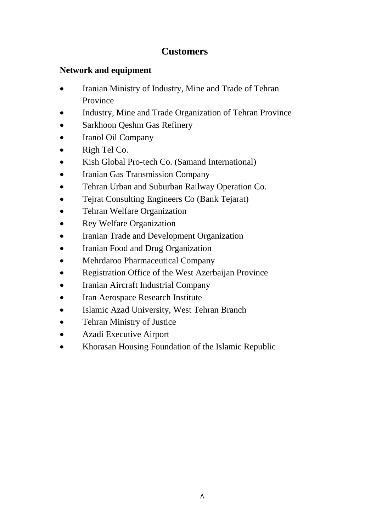# **Customers**

### **Network and equipment**

- Iranian Ministry of Industry, Mine and Trade of Tehran Province
- Industry, Mine and Trade Organization of Tehran Province
- Sarkhoon Qeshm Gas Refinery
- Iranol Oil Company
- Righ Tel Co.
- Kish Global Pro-tech Co. (Samand International)
- Iranian Gas Transmission Company
- Tehran Urban and Suburban Railway Operation Co.
- Tejrat Consulting Engineers Co (Bank Tejarat)
- Tehran Welfare Organization
- Rey Welfare Organization
- Iranian Trade and Development Organization
- Iranian Food and Drug Organization
- Mehrdaroo Pharmaceutical Company
- Registration Office of the West Azerbaijan Province
- Iranian Aircraft Industrial Company
- Iran Aerospace Research Institute
- Islamic Azad University, West Tehran Branch
- Tehran Ministry of Justice
- Azadi Executive Airport
- Khorasan Housing Foundation of the Islamic Republic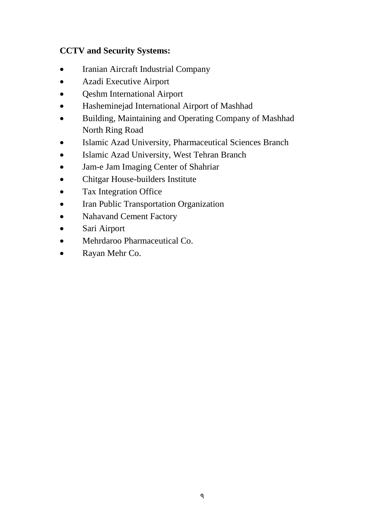### **CCTV and Security Systems:**

- Iranian Aircraft Industrial Company
- Azadi Executive Airport
- Qeshm International Airport
- Hasheminejad International Airport of Mashhad
- Building, Maintaining and Operating Company of Mashhad North Ring Road
- Islamic Azad University, Pharmaceutical Sciences Branch
- Islamic Azad University, West Tehran Branch
- Jam-e Jam Imaging Center of Shahriar
- Chitgar House-builders Institute
- Tax Integration Office
- Iran Public Transportation Organization
- Nahavand Cement Factory
- Sari Airport
- Mehrdaroo Pharmaceutical Co.
- Rayan Mehr Co.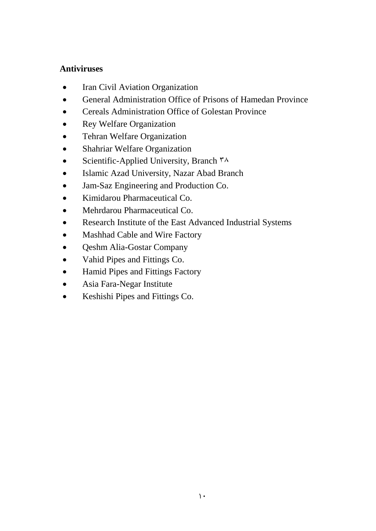### **Antiviruses**

- Iran Civil Aviation Organization
- General Administration Office of Prisons of Hamedan Province
- Cereals Administration Office of Golestan Province
- Rey Welfare Organization
- Tehran Welfare Organization
- Shahriar Welfare Organization
- Scientific-Applied University, Branch  $\mathsf{A}^{\mathsf{A}}$
- Islamic Azad University, Nazar Abad Branch
- Jam-Saz Engineering and Production Co.
- Kimidarou Pharmaceutical Co.
- Mehrdarou Pharmaceutical Co.
- Research Institute of the East Advanced Industrial Systems
- Mashhad Cable and Wire Factory
- Qeshm Alia-Gostar Company
- Vahid Pipes and Fittings Co.
- Hamid Pipes and Fittings Factory
- Asia Fara-Negar Institute
- Keshishi Pipes and Fittings Co.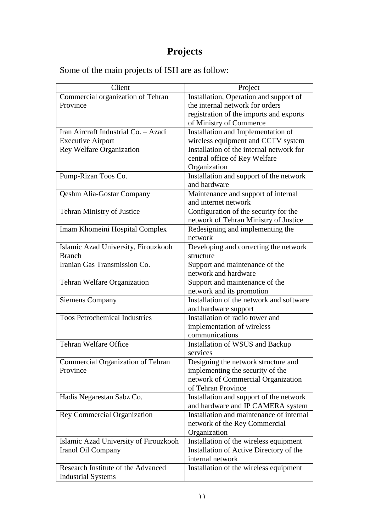# **Projects**

Some of the main projects of ISH are as follow:

| Client                                   | Project                                  |
|------------------------------------------|------------------------------------------|
| Commercial organization of Tehran        | Installation, Operation and support of   |
| Province                                 | the internal network for orders          |
|                                          | registration of the imports and exports  |
|                                          | of Ministry of Commerce                  |
| Iran Aircraft Industrial Co. - Azadi     | Installation and Implementation of       |
| <b>Executive Airport</b>                 | wireless equipment and CCTV system       |
| <b>Rey Welfare Organization</b>          | Installation of the internal network for |
|                                          | central office of Rey Welfare            |
|                                          | Organization                             |
| Pump-Rizan Toos Co.                      | Installation and support of the network  |
|                                          | and hardware                             |
| <b>Qeshm Alia-Gostar Company</b>         | Maintenance and support of internal      |
|                                          | and internet network                     |
| Tehran Ministry of Justice               | Configuration of the security for the    |
|                                          | network of Tehran Ministry of Justice    |
| Imam Khomeini Hospital Complex           | Redesigning and implementing the         |
|                                          | network                                  |
| Islamic Azad University, Firouzkooh      | Developing and correcting the network    |
| <b>Branch</b>                            | structure                                |
| Iranian Gas Transmission Co.             | Support and maintenance of the           |
|                                          | network and hardware                     |
| Tehran Welfare Organization              | Support and maintenance of the           |
|                                          | network and its promotion                |
| <b>Siemens Company</b>                   | Installation of the network and software |
|                                          | and hardware support                     |
| <b>Toos Petrochemical Industries</b>     | Installation of radio tower and          |
|                                          | implementation of wireless               |
|                                          | communications                           |
| <b>Tehran Welfare Office</b>             | Installation of WSUS and Backup          |
|                                          | services                                 |
| <b>Commercial Organization of Tehran</b> | Designing the network structure and      |
| Province                                 | implementing the security of the         |
|                                          | network of Commercial Organization       |
|                                          | of Tehran Province                       |
| Hadis Negarestan Sabz Co.                | Installation and support of the network  |
|                                          | and hardware and IP CAMERA system        |
| Rey Commercial Organization              | Installation and maintenance of internal |
|                                          | network of the Rey Commercial            |
|                                          | Organization                             |
| Islamic Azad University of Firouzkooh    | Installation of the wireless equipment   |
| Iranol Oil Company                       | Installation of Active Directory of the  |
|                                          | internal network                         |
| Research Institute of the Advanced       | Installation of the wireless equipment   |
| <b>Industrial Systems</b>                |                                          |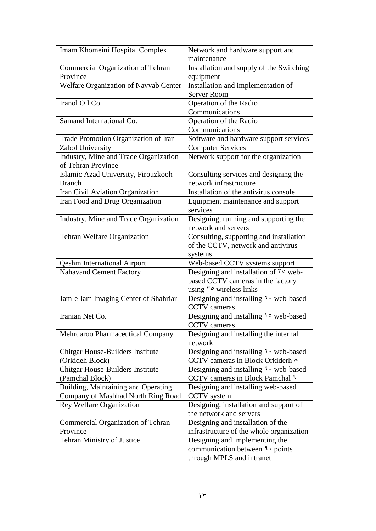| Imam Khomeini Hospital Complex                                            | Network and hardware support and                                                          |
|---------------------------------------------------------------------------|-------------------------------------------------------------------------------------------|
|                                                                           | maintenance                                                                               |
| Commercial Organization of Tehran<br>Province                             | Installation and supply of the Switching                                                  |
|                                                                           | equipment                                                                                 |
| Welfare Organization of Navvab Center                                     | Installation and implementation of<br><b>Server Room</b>                                  |
| Iranol Oil Co.                                                            | Operation of the Radio                                                                    |
|                                                                           | Communications                                                                            |
| Samand International Co.                                                  | Operation of the Radio                                                                    |
|                                                                           | Communications                                                                            |
| Trade Promotion Organization of Iran                                      | Software and hardware support services                                                    |
| Zabol University                                                          | <b>Computer Services</b>                                                                  |
| Industry, Mine and Trade Organization<br>of Tehran Province               | Network support for the organization                                                      |
| Islamic Azad University, Firouzkooh                                       | Consulting services and designing the                                                     |
| <b>Branch</b>                                                             | network infrastructure                                                                    |
| Iran Civil Aviation Organization                                          | Installation of the antivirus console                                                     |
| Iran Food and Drug Organization                                           | Equipment maintenance and support<br>services                                             |
| Industry, Mine and Trade Organization                                     | Designing, running and supporting the<br>network and servers                              |
| Tehran Welfare Organization                                               | Consulting, supporting and installation<br>of the CCTV, network and antivirus<br>systems  |
| <b>Qeshm International Airport</b>                                        | Web-based CCTV systems support                                                            |
| <b>Nahavand Cement Factory</b>                                            | Designing and installation of $\mathbf{r} \circ \mathbf{w}$ eb-                           |
|                                                                           | based CCTV cameras in the factory<br>using $\mathfrak{r}$ wireless links                  |
| Jam-e Jam Imaging Center of Shahriar                                      | Designing and installing 7 · web-based                                                    |
|                                                                           | <b>CCTV</b> cameras                                                                       |
| Iranian Net Co.                                                           | Designing and installing \o web-based<br><b>CCTV</b> cameras                              |
| Mehrdaroo Pharmaceutical Company                                          | Designing and installing the internal<br>network                                          |
| <b>Chitgar House-Builders Institute</b><br>(Orkideh Block)                | Designing and installing $\overline{\cdot}$ web-based<br>CCTV cameras in Block Orkiderh ^ |
| <b>Chitgar House-Builders Institute</b>                                   | Designing and installing <sup>1</sup> · web-based                                         |
| (Pamchal Block)                                                           | CCTV cameras in Block Pamchal <sup>1</sup>                                                |
| Building, Maintaining and Operating<br>Company of Mashhad North Ring Road | Designing and installing web-based<br>CCTV system                                         |
| <b>Rey Welfare Organization</b>                                           | Designing, installation and support of<br>the network and servers                         |
| <b>Commercial Organization of Tehran</b>                                  | Designing and installation of the                                                         |
| Province                                                                  | infrastructure of the whole organization                                                  |
| Tehran Ministry of Justice                                                | Designing and implementing the                                                            |
|                                                                           | communication between <i>a</i> · points                                                   |
|                                                                           | through MPLS and intranet                                                                 |